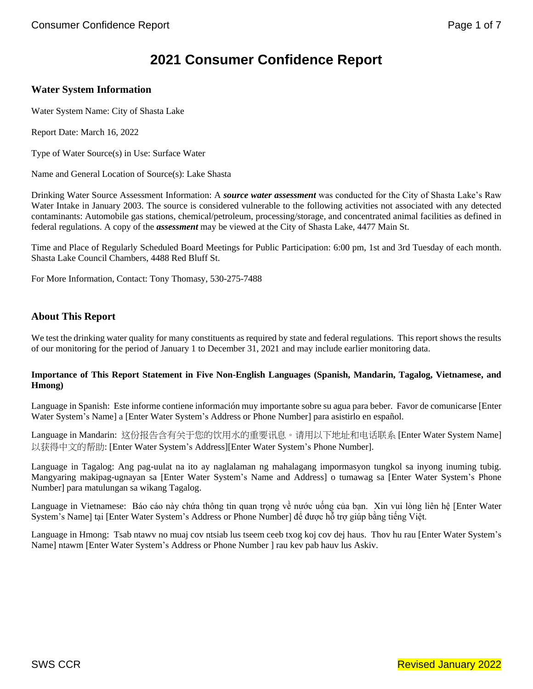# **2021 Consumer Confidence Report**

### **Water System Information**

Water System Name: City of Shasta Lake

Report Date: March 16, 2022

Type of Water Source(s) in Use: Surface Water

Name and General Location of Source(s): Lake Shasta

Drinking Water Source Assessment Information: A *source water assessment* was conducted for the City of Shasta Lake's Raw Water Intake in January 2003. The source is considered vulnerable to the following activities not associated with any detected contaminants: Automobile gas stations, chemical/petroleum, processing/storage, and concentrated animal facilities as defined in federal regulations. A copy of the *assessment* may be viewed at the City of Shasta Lake, 4477 Main St.

Time and Place of Regularly Scheduled Board Meetings for Public Participation: 6:00 pm, 1st and 3rd Tuesday of each month. Shasta Lake Council Chambers, 4488 Red Bluff St.

For More Information, Contact: Tony Thomasy, 530-275-7488

### **About This Report**

We test the drinking water quality for many constituents as required by state and federal regulations. This report shows the results of our monitoring for the period of January 1 to December 31, 2021 and may include earlier monitoring data.

#### **Importance of This Report Statement in Five Non-English Languages (Spanish, Mandarin, Tagalog, Vietnamese, and Hmong)**

Language in Spanish: Este informe contiene información muy importante sobre su agua para beber. Favor de comunicarse [Enter Water System's Name] a [Enter Water System's Address or Phone Number] para asistirlo en español.

Language in Mandarin: 这份报告含有关于您的饮用水的重要讯息。请用以下地址和电话联系 [Enter Water System Name] 以获得中文的帮助: [Enter Water System's Address][Enter Water System's Phone Number].

Language in Tagalog: Ang pag-uulat na ito ay naglalaman ng mahalagang impormasyon tungkol sa inyong inuming tubig. Mangyaring makipag-ugnayan sa [Enter Water System's Name and Address] o tumawag sa [Enter Water System's Phone Number] para matulungan sa wikang Tagalog.

Language in Vietnamese: Báo cáo này chứa thông tin quan trọng về nước uống của bạn. Xin vui lòng liên hệ [Enter Water System's Name] tại [Enter Water System's Address or Phone Number] để được hỗ trợ giúp bằng tiếng Việt.

Language in Hmong: Tsab ntawv no muaj cov ntsiab lus tseem ceeb txog koj cov dej haus. Thov hu rau [Enter Water System's Name] ntawm [Enter Water System's Address or Phone Number ] rau kev pab hauv lus Askiv.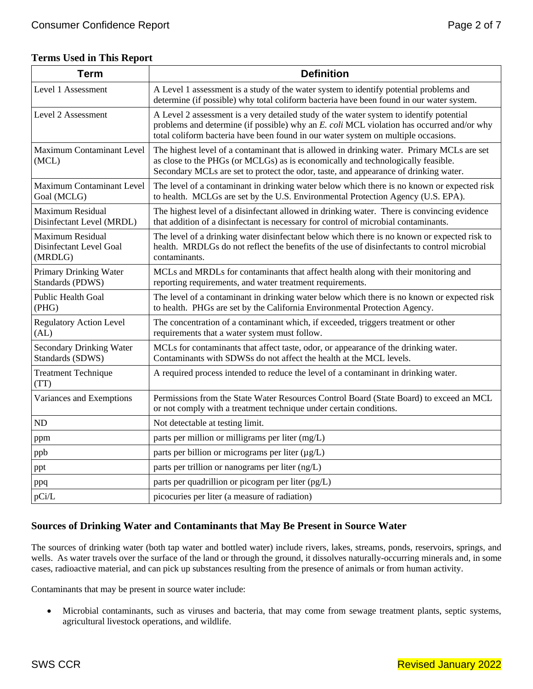| <b>Term</b>                                                   | <b>Definition</b>                                                                                                                                                                                                                                                          |
|---------------------------------------------------------------|----------------------------------------------------------------------------------------------------------------------------------------------------------------------------------------------------------------------------------------------------------------------------|
| Level 1 Assessment                                            | A Level 1 assessment is a study of the water system to identify potential problems and<br>determine (if possible) why total coliform bacteria have been found in our water system.                                                                                         |
| Level 2 Assessment                                            | A Level 2 assessment is a very detailed study of the water system to identify potential<br>problems and determine (if possible) why an E. coli MCL violation has occurred and/or why<br>total coliform bacteria have been found in our water system on multiple occasions. |
| Maximum Contaminant Level<br>(MCL)                            | The highest level of a contaminant that is allowed in drinking water. Primary MCLs are set<br>as close to the PHGs (or MCLGs) as is economically and technologically feasible.<br>Secondary MCLs are set to protect the odor, taste, and appearance of drinking water.     |
| Maximum Contaminant Level<br>Goal (MCLG)                      | The level of a contaminant in drinking water below which there is no known or expected risk<br>to health. MCLGs are set by the U.S. Environmental Protection Agency (U.S. EPA).                                                                                            |
| <b>Maximum Residual</b><br>Disinfectant Level (MRDL)          | The highest level of a disinfectant allowed in drinking water. There is convincing evidence<br>that addition of a disinfectant is necessary for control of microbial contaminants.                                                                                         |
| <b>Maximum Residual</b><br>Disinfectant Level Goal<br>(MRDLG) | The level of a drinking water disinfectant below which there is no known or expected risk to<br>health. MRDLGs do not reflect the benefits of the use of disinfectants to control microbial<br>contaminants.                                                               |
| Primary Drinking Water<br>Standards (PDWS)                    | MCLs and MRDLs for contaminants that affect health along with their monitoring and<br>reporting requirements, and water treatment requirements.                                                                                                                            |
| <b>Public Health Goal</b><br>(PHG)                            | The level of a contaminant in drinking water below which there is no known or expected risk<br>to health. PHGs are set by the California Environmental Protection Agency.                                                                                                  |
| <b>Regulatory Action Level</b><br>(AL)                        | The concentration of a contaminant which, if exceeded, triggers treatment or other<br>requirements that a water system must follow.                                                                                                                                        |
| <b>Secondary Drinking Water</b><br>Standards (SDWS)           | MCLs for contaminants that affect taste, odor, or appearance of the drinking water.<br>Contaminants with SDWSs do not affect the health at the MCL levels.                                                                                                                 |
| <b>Treatment Technique</b><br>(TT)                            | A required process intended to reduce the level of a contaminant in drinking water.                                                                                                                                                                                        |
| Variances and Exemptions                                      | Permissions from the State Water Resources Control Board (State Board) to exceed an MCL<br>or not comply with a treatment technique under certain conditions.                                                                                                              |
| <b>ND</b>                                                     | Not detectable at testing limit.                                                                                                                                                                                                                                           |
| ppm                                                           | parts per million or milligrams per liter (mg/L)                                                                                                                                                                                                                           |
| ppb                                                           | parts per billion or micrograms per liter $(\mu g/L)$                                                                                                                                                                                                                      |
| ppt                                                           | parts per trillion or nanograms per liter (ng/L)                                                                                                                                                                                                                           |
| ppq                                                           | parts per quadrillion or picogram per liter (pg/L)                                                                                                                                                                                                                         |
| pCi/L                                                         | picocuries per liter (a measure of radiation)                                                                                                                                                                                                                              |

# **Sources of Drinking Water and Contaminants that May Be Present in Source Water**

The sources of drinking water (both tap water and bottled water) include rivers, lakes, streams, ponds, reservoirs, springs, and wells. As water travels over the surface of the land or through the ground, it dissolves naturally-occurring minerals and, in some cases, radioactive material, and can pick up substances resulting from the presence of animals or from human activity.

Contaminants that may be present in source water include:

• Microbial contaminants, such as viruses and bacteria, that may come from sewage treatment plants, septic systems, agricultural livestock operations, and wildlife.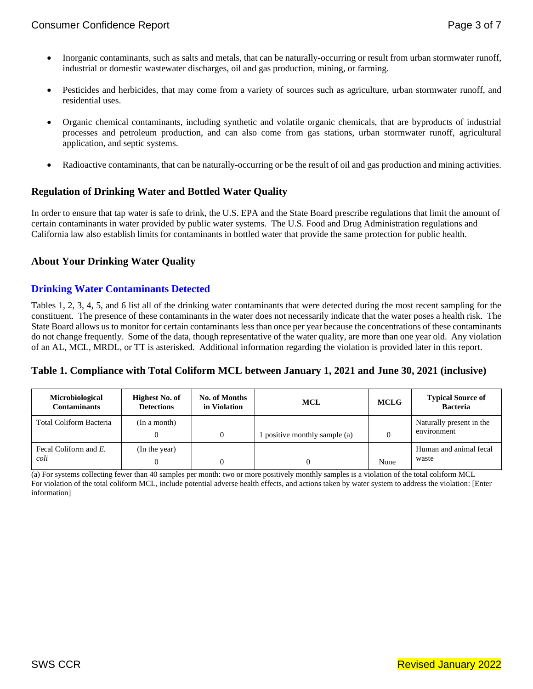- Inorganic contaminants, such as salts and metals, that can be naturally-occurring or result from urban stormwater runoff, industrial or domestic wastewater discharges, oil and gas production, mining, or farming.
- Pesticides and herbicides, that may come from a variety of sources such as agriculture, urban stormwater runoff, and residential uses.
- Organic chemical contaminants, including synthetic and volatile organic chemicals, that are byproducts of industrial processes and petroleum production, and can also come from gas stations, urban stormwater runoff, agricultural application, and septic systems.
- Radioactive contaminants, that can be naturally-occurring or be the result of oil and gas production and mining activities.

## **Regulation of Drinking Water and Bottled Water Quality**

In order to ensure that tap water is safe to drink, the U.S. EPA and the State Board prescribe regulations that limit the amount of certain contaminants in water provided by public water systems. The U.S. Food and Drug Administration regulations and California law also establish limits for contaminants in bottled water that provide the same protection for public health.

## **About Your Drinking Water Quality**

## **Drinking Water Contaminants Detected**

Tables 1, 2, 3, 4, 5, and 6 list all of the drinking water contaminants that were detected during the most recent sampling for the constituent. The presence of these contaminants in the water does not necessarily indicate that the water poses a health risk. The State Board allows us to monitor for certain contaminants less than once per year because the concentrations of these contaminants do not change frequently. Some of the data, though representative of the water quality, are more than one year old. Any violation of an AL, MCL, MRDL, or TT is asterisked. Additional information regarding the violation is provided later in this report.

## **Table 1. Compliance with Total Coliform MCL between January 1, 2021 and June 30, 2021 (inclusive)**

| <b>Microbiological</b><br><b>Contaminants</b> | <b>Highest No. of</b><br><b>Detections</b> | No. of Months<br>in Violation | <b>MCL</b>                    | <b>MCLG</b> | <b>Typical Source of</b><br><b>Bacteria</b> |
|-----------------------------------------------|--------------------------------------------|-------------------------------|-------------------------------|-------------|---------------------------------------------|
| Total Coliform Bacteria                       | (In a month)                               |                               | 1 positive monthly sample (a) |             | Naturally present in the<br>environment     |
| Fecal Coliform and E.<br>coli                 | (In the year)                              |                               |                               | None        | Human and animal fecal<br>waste             |

(a) For systems collecting fewer than 40 samples per month: two or more positively monthly samples is a violation of the total coliform MCL For violation of the total coliform MCL, include potential adverse health effects, and actions taken by water system to address the violation: [Enter information]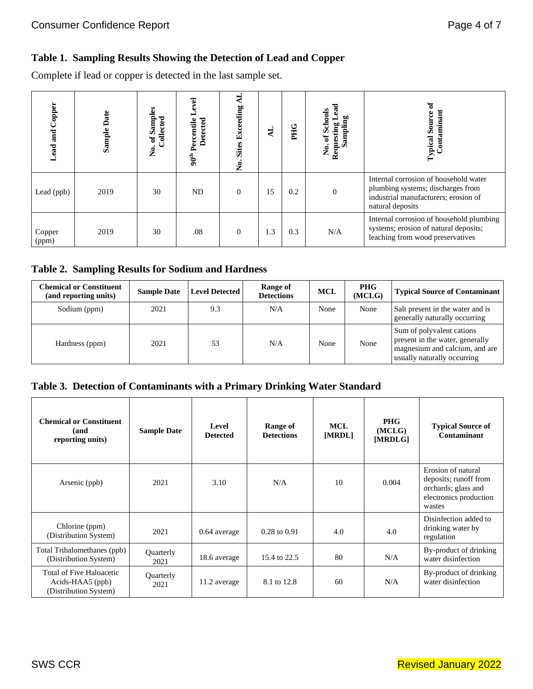# **Table 1. Sampling Results Showing the Detection of Lead and Copper**

Complete if lead or copper is detected in the last sample set.

| Copper<br>and<br>ead | <b>Sample Date</b> | Samples<br>Collected<br>$\mathfrak{b}$<br>å. | ಕ<br>Percentile<br>Detected<br>$90^{\text{th}}$ | ≺<br><b>Sites Exceeding</b><br>Ż. | 41  | PHG | эа<br>No. of Schools<br>Sampling<br>Requesting | Typical Source<br>Contaminan                                                                                                           |
|----------------------|--------------------|----------------------------------------------|-------------------------------------------------|-----------------------------------|-----|-----|------------------------------------------------|----------------------------------------------------------------------------------------------------------------------------------------|
| Lead (ppb)           | 2019               | 30                                           | ND                                              | $\theta$                          | 15  | 0.2 | $\Omega$                                       | Internal corrosion of household water<br>plumbing systems; discharges from<br>industrial manufacturers; erosion of<br>natural deposits |
| Copper<br>(ppm)      | 2019               | 30                                           | .08                                             | $\overline{0}$                    | 1.3 | 0.3 | N/A                                            | Internal corrosion of household plumbing<br>systems; erosion of natural deposits;<br>leaching from wood preservatives                  |

# **Table 2. Sampling Results for Sodium and Hardness**

| <b>Chemical or Constituent</b><br>(and reporting units) | <b>Sample Date</b> | <b>Level Detected</b> | Range of<br><b>Detections</b> | <b>MCL</b> | <b>PHG</b><br>(MCLG) | <b>Typical Source of Contaminant</b>                                                                                          |
|---------------------------------------------------------|--------------------|-----------------------|-------------------------------|------------|----------------------|-------------------------------------------------------------------------------------------------------------------------------|
| Sodium (ppm)                                            | 2021               | 9.3                   | N/A                           | None       | None                 | Salt present in the water and is<br>generally naturally occurring                                                             |
| Hardness (ppm)                                          | 2021               | 53                    | N/A                           | None       | None                 | Sum of polyvalent cations<br>present in the water, generally<br>magnesium and calcium, and are<br>usually naturally occurring |

# **Table 3. Detection of Contaminants with a Primary Drinking Water Standard**

| <b>Chemical or Constituent</b><br>(and<br>reporting units)            | <b>Sample Date</b> | Level<br><b>Detected</b> | Range of<br><b>Detections</b> | <b>MCL</b><br>[MRDL] | <b>PHG</b><br>(MCLG)<br>[MRDLG] | <b>Typical Source of</b><br>Contaminant                                                                |
|-----------------------------------------------------------------------|--------------------|--------------------------|-------------------------------|----------------------|---------------------------------|--------------------------------------------------------------------------------------------------------|
| Arsenic (ppb)                                                         | 2021               | 3.10                     | N/A                           | 10                   | 0.004                           | Erosion of natural<br>deposits; runoff from<br>orchards; glass and<br>electronics production<br>wastes |
| Chlorine (ppm)<br>(Distribution System)                               | 2021               | 0.64 average             | $0.28$ to $0.91$              | 4.0                  | 4.0                             | Disinfection added to<br>drinking water by<br>regulation                                               |
| Total Trihalomethanes (ppb)<br>(Distribution System)                  | Quarterly<br>2021  | 18.6 average             | 15.4 to 22.5                  | 80                   | N/A                             | By-product of drinking<br>water disinfection                                                           |
| Total of Five Haloacetic<br>Acids-HAA5 (ppb)<br>(Distribution System) | Quarterly<br>2021  | 11.2 average             | 8.1 to 12.8                   | 60                   | N/A                             | By-product of drinking<br>water disinfection                                                           |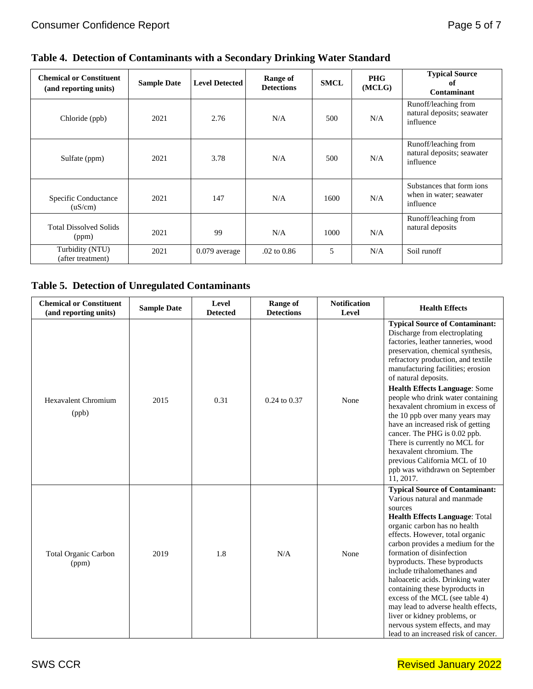|  | Table 4. Detection of Contaminants with a Secondary Drinking Water Standard |  |  |
|--|-----------------------------------------------------------------------------|--|--|

| <b>Chemical or Constituent</b><br>(and reporting units) | <b>Sample Date</b> | <b>Level Detected</b> | Range of<br><b>Detections</b> | <b>SMCL</b> | <b>PHG</b><br>(MCLG) | <b>Typical Source</b><br>of<br>Contaminant                        |
|---------------------------------------------------------|--------------------|-----------------------|-------------------------------|-------------|----------------------|-------------------------------------------------------------------|
| Chloride (ppb)                                          | 2021               | 2.76                  | N/A                           | 500         | N/A                  | Runoff/leaching from<br>natural deposits; seawater<br>influence   |
| Sulfate (ppm)                                           | 2021               | 3.78                  | N/A                           | 500         | N/A                  | Runoff/leaching from<br>natural deposits; seawater<br>influence   |
| Specific Conductance<br>(uS/cm)                         | 2021               | 147                   | N/A                           | 1600        | N/A                  | Substances that form ions<br>when in water; seawater<br>influence |
| <b>Total Dissolved Solids</b><br>(ppm)                  | 2021               | 99                    | N/A                           | 1000        | N/A                  | Runoff/leaching from<br>natural deposits                          |
| Turbidity (NTU)<br>(after treatment)                    | 2021               | 0.079 average         | $.02 \text{ to } 0.86$        | 5           | N/A                  | Soil runoff                                                       |

# **Table 5. Detection of Unregulated Contaminants**

| <b>Chemical or Constituent</b><br>(and reporting units) | <b>Sample Date</b> | Level<br><b>Detected</b> | <b>Range of</b><br><b>Detections</b> | <b>Notification</b><br>Level | <b>Health Effects</b>                                                                                                                                                                                                                                                                                                                                                                                                                                                                                                                                                                                                     |
|---------------------------------------------------------|--------------------|--------------------------|--------------------------------------|------------------------------|---------------------------------------------------------------------------------------------------------------------------------------------------------------------------------------------------------------------------------------------------------------------------------------------------------------------------------------------------------------------------------------------------------------------------------------------------------------------------------------------------------------------------------------------------------------------------------------------------------------------------|
| Hexavalent Chromium<br>(ppb)                            | 2015               | 0.31                     | $0.24$ to $0.37$                     | None                         | <b>Typical Source of Contaminant:</b><br>Discharge from electroplating<br>factories, leather tanneries, wood<br>preservation, chemical synthesis,<br>refractory production, and textile<br>manufacturing facilities; erosion<br>of natural deposits.<br><b>Health Effects Language: Some</b><br>people who drink water containing<br>hexavalent chromium in excess of<br>the 10 ppb over many years may<br>have an increased risk of getting<br>cancer. The PHG is 0.02 ppb.<br>There is currently no MCL for<br>hexavalent chromium. The<br>previous California MCL of 10<br>ppb was withdrawn on September<br>11, 2017. |
| <b>Total Organic Carbon</b><br>(ppm)                    | 2019               | 1.8                      | N/A                                  | None                         | <b>Typical Source of Contaminant:</b><br>Various natural and manmade<br>sources<br>Health Effects Language: Total<br>organic carbon has no health<br>effects. However, total organic<br>carbon provides a medium for the<br>formation of disinfection<br>byproducts. These byproducts<br>include trihalomethanes and<br>haloacetic acids. Drinking water<br>containing these byproducts in<br>excess of the MCL (see table 4)<br>may lead to adverse health effects,<br>liver or kidney problems, or<br>nervous system effects, and may<br>lead to an increased risk of cancer.                                           |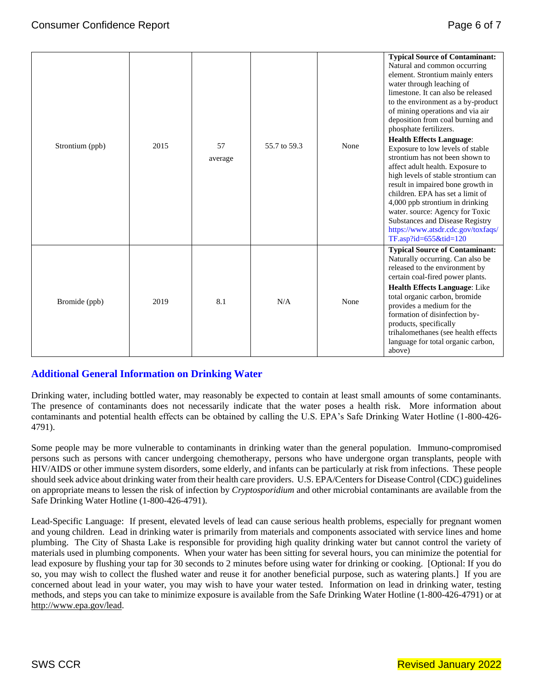| Strontium (ppb) | 2015 | 57<br>average | 55.7 to 59.3 | None | <b>Typical Source of Contaminant:</b><br>Natural and common occurring<br>element. Strontium mainly enters<br>water through leaching of<br>limestone. It can also be released<br>to the environment as a by-product<br>of mining operations and via air<br>deposition from coal burning and<br>phosphate fertilizers.<br><b>Health Effects Language:</b><br>Exposure to low levels of stable<br>strontium has not been shown to<br>affect adult health. Exposure to<br>high levels of stable strontium can<br>result in impaired bone growth in<br>children. EPA has set a limit of<br>4,000 ppb strontium in drinking<br>water. source: Agency for Toxic<br>Substances and Disease Registry<br>https://www.atsdr.cdc.gov/toxfaqs/ |
|-----------------|------|---------------|--------------|------|-----------------------------------------------------------------------------------------------------------------------------------------------------------------------------------------------------------------------------------------------------------------------------------------------------------------------------------------------------------------------------------------------------------------------------------------------------------------------------------------------------------------------------------------------------------------------------------------------------------------------------------------------------------------------------------------------------------------------------------|
| Bromide (ppb)   | 2019 | 8.1           | N/A          | None | TF.asp?id=655&tid=120<br><b>Typical Source of Contaminant:</b><br>Naturally occurring. Can also be<br>released to the environment by<br>certain coal-fired power plants.<br><b>Health Effects Language: Like</b><br>total organic carbon, bromide<br>provides a medium for the<br>formation of disinfection by-<br>products, specifically<br>trihalomethanes (see health effects<br>language for total organic carbon,<br>above)                                                                                                                                                                                                                                                                                                  |

# **Additional General Information on Drinking Water**

Drinking water, including bottled water, may reasonably be expected to contain at least small amounts of some contaminants. The presence of contaminants does not necessarily indicate that the water poses a health risk. More information about contaminants and potential health effects can be obtained by calling the U.S. EPA's Safe Drinking Water Hotline (1-800-426- 4791).

Some people may be more vulnerable to contaminants in drinking water than the general population. Immuno-compromised persons such as persons with cancer undergoing chemotherapy, persons who have undergone organ transplants, people with HIV/AIDS or other immune system disorders, some elderly, and infants can be particularly at risk from infections. These people should seek advice about drinking water from their health care providers. U.S. EPA/Centers for Disease Control (CDC) guidelines on appropriate means to lessen the risk of infection by *Cryptosporidium* and other microbial contaminants are available from the Safe Drinking Water Hotline (1-800-426-4791).

Lead-Specific Language: If present, elevated levels of lead can cause serious health problems, especially for pregnant women and young children. Lead in drinking water is primarily from materials and components associated with service lines and home plumbing. The City of Shasta Lake is responsible for providing high quality drinking water but cannot control the variety of materials used in plumbing components. When your water has been sitting for several hours, you can minimize the potential for lead exposure by flushing your tap for 30 seconds to 2 minutes before using water for drinking or cooking. [Optional: If you do so, you may wish to collect the flushed water and reuse it for another beneficial purpose, such as watering plants.] If you are concerned about lead in your water, you may wish to have your water tested. Information on lead in drinking water, testing methods, and steps you can take to minimize exposure is available from the Safe Drinking Water Hotline (1-800-426-4791) or at [http://www.epa.gov/lead.](http://www.epa.gov/lead)